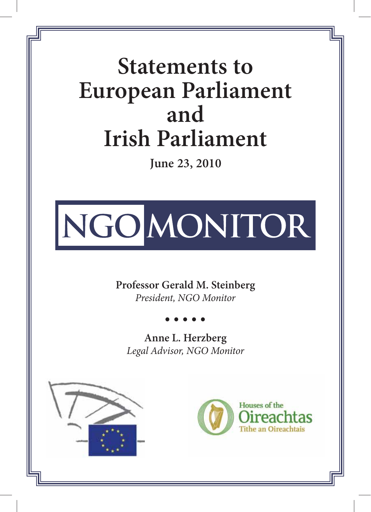### **Statements to European Parliament and Irish Parliament**

**June 23, 2010**

# NGO MONITOR

**Professor Gerald M. Steinberg** *President, NGO Monitor*

**• • • • •**

**Anne L. Herzberg** *Legal Advisor, NGO Monitor*



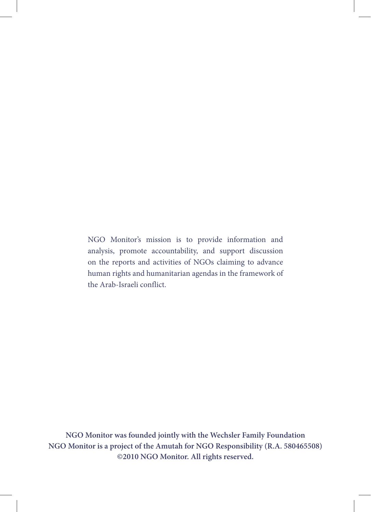NGO Monitor's mission is to provide information and analysis, promote accountability, and support discussion on the reports and activities of NGOs claiming to advance human rights and humanitarian agendas in the framework of the Arab-Israeli conflict.

**NGO Monitor was founded jointly with the Wechsler Family Foundation NGO Monitor is a project of the Amutah for NGO Responsibility (R.A. 580465508) ©2010 NGO Monitor. All rights reserved.**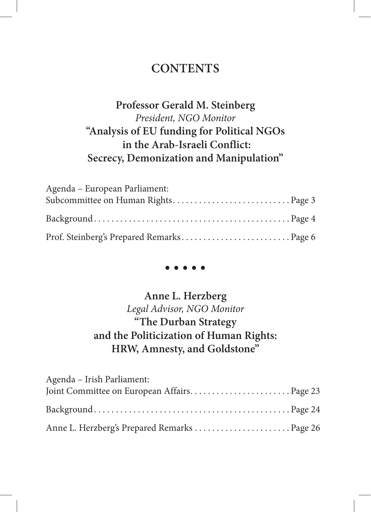#### **CONTENTS**

#### **Professor Gerald M. Steinberg** *President, NGO Monitor* **"Analysis of EU funding for Political NGOs in the Arab-Israeli Conflict: Secrecy, Demonization and Manipulation"**

| Agenda – European Parliament:             |  |
|-------------------------------------------|--|
| Subcommittee on Human Rights Page 3       |  |
|                                           |  |
| Prof. Steinberg's Prepared Remarks Page 6 |  |

**• • • • •**

#### **Anne L. Herzberg** *Legal Advisor, NGO Monitor* **"The Durban Strategy and the Politicization of Human Rights: HRW, Amnesty, and Goldstone"**

| Agenda - Irish Parliament:                   |  |
|----------------------------------------------|--|
|                                              |  |
|                                              |  |
| Anne L. Herzberg's Prepared Remarks  Page 26 |  |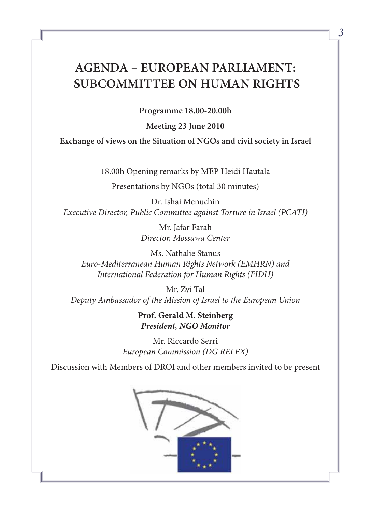#### **AGENDA – EUROPEAN PARLIAMENT: SUBCOMMITTEE ON HUMAN RIGHTS**

*3*

**Programme 18.00-20.00h**

**Meeting 23 June 2010**

**Exchange of views on the Situation of NGOs and civil society in Israel**

18.00h Opening remarks by MEP Heidi Hautala

Presentations by NGOs (total 30 minutes)

Dr. Ishai Menuchin *Executive Director, Public Committee against Torture in Israel (PCATI)*

> Mr. Jafar Farah *Director, Mossawa Center*

Ms. Nathalie Stanus *Euro-Mediterranean Human Rights Network (EMHRN) and International Federation for Human Rights (FIDH)*

Mr. Zvi Tal *Deputy Ambassador of the Mission of Israel to the European Union*

> **Prof. Gerald M. Steinberg** *President, NGO Monitor*

Mr. Riccardo Serri *European Commission (DG RELEX)*

Discussion with Members of DROI and other members invited to be present

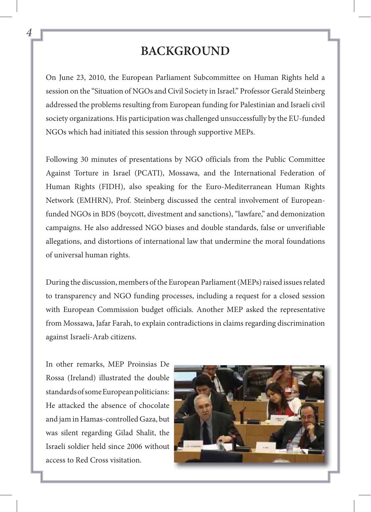#### **BACKGROUND**

On June 23, 2010, the European Parliament Subcommittee on Human Rights held a session on the "Situation of NGOs and Civil Society in Israel." Professor Gerald Steinberg addressed the problems resulting from European funding for Palestinian and Israeli civil society organizations. His participation was challenged unsuccessfully by the EU-funded NGOs which had initiated this session through supportive MEPs.

Following 30 minutes of presentations by NGO officials from the Public Committee Against Torture in Israel (PCATI), Mossawa, and the International Federation of Human Rights (FIDH), also speaking for the Euro-Mediterranean Human Rights Network (EMHRN), Prof. Steinberg discussed the central involvement of Europeanfunded NGOs in BDS (boycott, divestment and sanctions), "lawfare," and demonization campaigns. He also addressed NGO biases and double standards, false or unverifiable allegations, and distortions of international law that undermine the moral foundations of universal human rights.

During the discussion, members of the European Parliament (MEPs) raised issues related to transparency and NGO funding processes, including a request for a closed session with European Commission budget officials. Another MEP asked the representative from Mossawa, Jafar Farah, to explain contradictions in claims regarding discrimination against Israeli-Arab citizens.

In other remarks, MEP Proinsias De Rossa (Ireland) illustrated the double standards of some European politicians: He attacked the absence of chocolate and jam in Hamas-controlled Gaza, but was silent regarding Gilad Shalit, the Israeli soldier held since 2006 without access to Red Cross visitation.

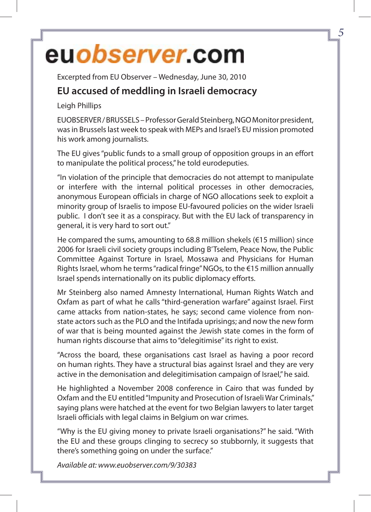### eu*observer*.com

Excerpted from EU Observer – Wednesday, June 30, 2010

#### **EU accused of meddling in Israeli democracy**

Leigh Phillips

EUOBSERVER / BRUSSELS – Professor Gerald Steinberg, NGO Monitor president, was in Brussels last week to speak with MEPs and Israel's EU mission promoted his work among journalists.

*5*

The EU gives "public funds to a small group of opposition groups in an effort to manipulate the political process," he told eurodeputies.

"In violation of the principle that democracies do not attempt to manipulate or interfere with the internal political processes in other democracies, anonymous European officials in charge of NGO allocations seek to exploit a minority group of Israelis to impose EU-favoured policies on the wider Israeli public. I don't see it as a conspiracy. But with the EU lack of transparency in general, it is very hard to sort out."

He compared the sums, amounting to 68.8 million shekels (€15 million) since 2006 for Israeli civil society groups including B'Tselem, Peace Now, the Public Committee Against Torture in Israel, Mossawa and Physicians for Human Rights Israel, whom he terms "radical fringe" NGOs, to the €15 million annually Israel spends internationally on its public diplomacy efforts.

Mr Steinberg also named Amnesty International, Human Rights Watch and Oxfam as part of what he calls "third-generation warfare" against Israel. First came attacks from nation-states, he says; second came violence from nonstate actors such as the PLO and the Intifada uprisings; and now the new form of war that is being mounted against the Jewish state comes in the form of human rights discourse that aims to "delegitimise" its right to exist.

"Across the board, these organisations cast Israel as having a poor record on human rights. They have a structural bias against Israel and they are very active in the demonisation and delegitimisation campaign of Israel," he said.

He highlighted a November 2008 conference in Cairo that was funded by Oxfam and the EU entitled "Impunity and Prosecution of Israeli War Criminals," saying plans were hatched at the event for two Belgian lawyers to later target Israeli officials with legal claims in Belgium on war crimes.

"Why is the EU giving money to private Israeli organisations?" he said. "With the EU and these groups clinging to secrecy so stubbornly, it suggests that there's something going on under the surface."

*Available at: www.euobserver.com/9/30383*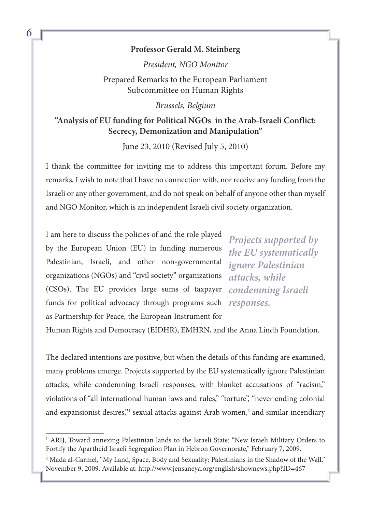#### **Professor Gerald M. Steinberg**

*President, NGO Monitor*

Prepared Remarks to the European Parliament Subcommittee on Human Rights

*Brussels, Belgium*

#### **"Analysis of EU funding for Political NGOs in the Arab-Israeli Conflict: Secrecy, Demonization and Manipulation"**

June 23, 2010 (Revised July 5, 2010)

I thank the committee for inviting me to address this important forum. Before my remarks, I wish to note that I have no connection with, nor receive any funding from the Israeli or any other government, and do not speak on behalf of anyone other than myself and NGO Monitor, which is an independent Israeli civil society organization.

I am here to discuss the policies of and the role played by the European Union (EU) in funding numerous Palestinian, Israeli, and other non-governmental organizations (NGOs) and "civil society" organizations (CSOs). The EU provides large sums of taxpayer funds for political advocacy through programs such *responses.*as Partnership for Peace, the European Instrument for

*Projects supported by the EU systematically ignore Palestinian attacks, while condemning Israeli* 

Human Rights and Democracy (EIDHR), EMHRN, and the Anna Lindh Foundation.

The declared intentions are positive, but when the details of this funding are examined, many problems emerge. Projects supported by the EU systematically ignore Palestinian attacks, while condemning Israeli responses, with blanket accusations of "racism," violations of "all international human laws and rules," "torture", "never ending colonial and expansionist desires," sexual attacks against Arab women,<sup>2</sup> and similar incendiary

<sup>1</sup> ARIJ, Toward annexing Palestinian lands to the Israeli State: "New Israeli Military Orders to Fortify the Apartheid Israeli Segregation Plan in Hebron Governorate," February 7, 2009.

<sup>&</sup>lt;sup>2</sup> Mada al-Carmel, "My Land, Space, Body and Sexuality: Palestinians in the Shadow of the Wall," November 9, 2009. Available at: http://www.jensaneya.org/english/shownews.php?ID=467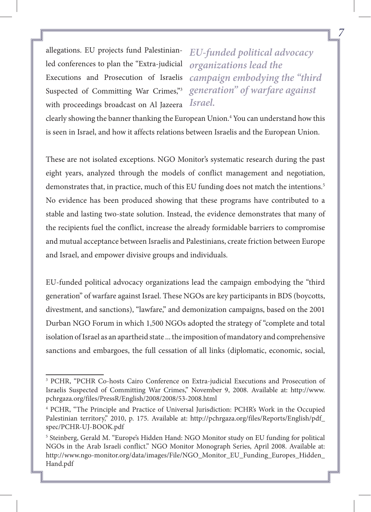allegations. EU projects fund Palestinianled conferences to plan the "Extra-judicial Executions and Prosecution of Israelis Suspected of Committing War Crimes,"3 with proceedings broadcast on Al Jazeera *Israel.*

*EU-funded political advocacy organizations lead the campaign embodying the "third generation" of warfare against*

*7*

clearly showing the banner thanking the European Union.<sup>4</sup> You can understand how this is seen in Israel, and how it affects relations between Israelis and the European Union.

These are not isolated exceptions. NGO Monitor's systematic research during the past eight years, analyzed through the models of conflict management and negotiation, demonstrates that, in practice, much of this EU funding does not match the intentions.<sup>5</sup> No evidence has been produced showing that these programs have contributed to a stable and lasting two-state solution. Instead, the evidence demonstrates that many of the recipients fuel the conflict, increase the already formidable barriers to compromise and mutual acceptance between Israelis and Palestinians, create friction between Europe and Israel, and empower divisive groups and individuals.

EU-funded political advocacy organizations lead the campaign embodying the "third generation" of warfare against Israel. These NGOs are key participants in BDS (boycotts, divestment, and sanctions), "lawfare," and demonization campaigns, based on the 2001 Durban NGO Forum in which 1,500 NGOs adopted the strategy of "complete and total isolation of Israel as an apartheid state ... the imposition of mandatory and comprehensive sanctions and embargoes, the full cessation of all links (diplomatic, economic, social,

<sup>&</sup>lt;sup>3</sup> PCHR, "PCHR Co-hosts Cairo Conference on Extra-judicial Executions and Prosecution of Israelis Suspected of Committing War Crimes," November 9, 2008. Available at: http://www. pchrgaza.org/files/PressR/English/2008/2008/53-2008.html

<sup>4</sup> PCHR, "The Principle and Practice of Universal Jurisdiction: PCHR's Work in the Occupied Palestinian territory," 2010, p. 175. Available at: http://pchrgaza.org/files/Reports/English/pdf\_ spec/PCHR-UJ-BOOK.pdf

<sup>5</sup> Steinberg, Gerald M. "Europe's Hidden Hand: NGO Monitor study on EU funding for political NGOs in the Arab Israeli conflict." NGO Monitor Monograph Series, April 2008. Available at: http://www.ngo-monitor.org/data/images/File/NGO\_Monitor\_EU\_Funding\_Europes\_Hidden\_ Hand.pdf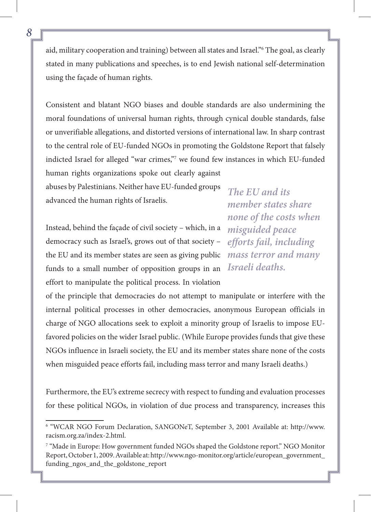aid, military cooperation and training) between all states and Israel."6 The goal, as clearly stated in many publications and speeches, is to end Jewish national self-determination using the façade of human rights.

Consistent and blatant NGO biases and double standards are also undermining the moral foundations of universal human rights, through cynical double standards, false or unverifiable allegations, and distorted versions of international law. In sharp contrast to the central role of EU-funded NGOs in promoting the Goldstone Report that falsely indicted Israel for alleged "war crimes,"7 we found few instances in which EU-funded

human rights organizations spoke out clearly against abuses by Palestinians. Neither have EU-funded groups advanced the human rights of Israelis.

Instead, behind the façade of civil society – which, in a democracy such as Israel's, grows out of that society – the EU and its member states are seen as giving public funds to a small number of opposition groups in an effort to manipulate the political process. In violation

*The EU and its member states share none of the costs when misguided peace efforts fail, including mass terror and many Israeli deaths.*

of the principle that democracies do not attempt to manipulate or interfere with the internal political processes in other democracies, anonymous European officials in charge of NGO allocations seek to exploit a minority group of Israelis to impose EUfavored policies on the wider Israel public. (While Europe provides funds that give these NGOs influence in Israeli society, the EU and its member states share none of the costs when misguided peace efforts fail, including mass terror and many Israeli deaths.)

Furthermore, the EU's extreme secrecy with respect to funding and evaluation processes for these political NGOs, in violation of due process and transparency, increases this

 $^6$  "WCAR NGO Forum Declaration, SANGONeT, September 3, 2001 Available at: http://www. racism.org.za/index-2.html.

<sup>7</sup> "Made in Europe: How government funded NGOs shaped the Goldstone report." NGO Monitor Report, October 1, 2009. Available at: http://www.ngo-monitor.org/article/european\_government\_ funding\_ngos\_and\_the\_goldstone\_report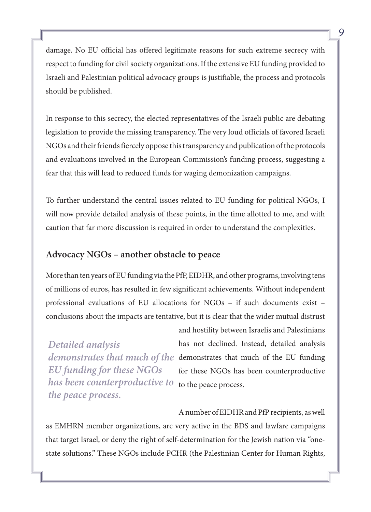damage. No EU official has offered legitimate reasons for such extreme secrecy with respect to funding for civil society organizations. If the extensive EU funding provided to Israeli and Palestinian political advocacy groups is justifiable, the process and protocols should be published.

In response to this secrecy, the elected representatives of the Israeli public are debating legislation to provide the missing transparency. The very loud officials of favored Israeli NGOs and their friends fiercely oppose this transparency and publication of the protocols and evaluations involved in the European Commission's funding process, suggesting a fear that this will lead to reduced funds for waging demonization campaigns.

To further understand the central issues related to EU funding for political NGOs, I will now provide detailed analysis of these points, in the time allotted to me, and with caution that far more discussion is required in order to understand the complexities.

#### **Advocacy NGOs – another obstacle to peace**

More than ten years of EU funding via the PfP, EIDHR, and other programs, involving tens of millions of euros, has resulted in few significant achievements. Without independent professional evaluations of EU allocations for NGOs – if such documents exist – conclusions about the impacts are tentative, but it is clear that the wider mutual distrust

*Detailed analysis EU funding for these NGOs has been counterproductive to the peace process.*

and hostility between Israelis and Palestinians has not declined. Instead, detailed analysis demonstrates that much of the demonstrates that much of the EU funding for these NGOs has been counterproductive to the peace process.

A number of EIDHR and PfP recipients, as well

as EMHRN member organizations, are very active in the BDS and lawfare campaigns that target Israel, or deny the right of self-determination for the Jewish nation via "onestate solutions." These NGOs include PCHR (the Palestinian Center for Human Rights,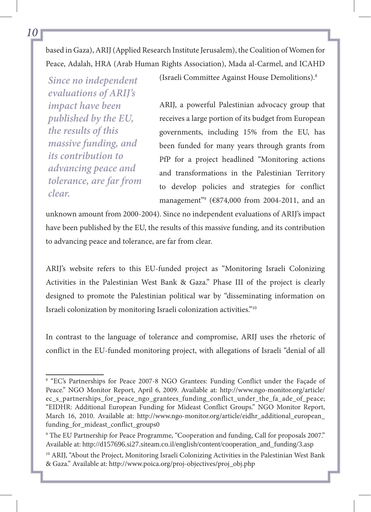based in Gaza), ARIJ (Applied Research Institute Jerusalem), the Coalition of Women for Peace, Adalah, HRA (Arab Human Rights Association), Mada al-Carmel, and ICAHD

*Since no independent evaluations of ARIJ's impact have been published by the EU, the results of this massive funding, and its contribution to advancing peace and tolerance, are far from clear.*

(Israeli Committee Against House Demolitions).8

ARIJ, a powerful Palestinian advocacy group that receives a large portion of its budget from European governments, including 15% from the EU, has been funded for many years through grants from PfP for a project headlined "Monitoring actions and transformations in the Palestinian Territory to develop policies and strategies for conflict management"9 (€874,000 from 2004-2011, and an

unknown amount from 2000-2004). Since no independent evaluations of ARIJ's impact have been published by the EU, the results of this massive funding, and its contribution to advancing peace and tolerance, are far from clear.

ARIJ's website refers to this EU-funded project as "Monitoring Israeli Colonizing Activities in the Palestinian West Bank & Gaza." Phase III of the project is clearly designed to promote the Palestinian political war by "disseminating information on Israeli colonization by monitoring Israeli colonization activities."10

In contrast to the language of tolerance and compromise, ARIJ uses the rhetoric of conflict in the EU-funded monitoring project, with allegations of Israeli "denial of all

<sup>8</sup> "EC's Partnerships for Peace 2007-8 NGO Grantees: Funding Conflict under the Façade of Peace." NGO Monitor Report, April 6, 2009. Available at: http://www.ngo-monitor.org/article/ ec\_s\_partnerships\_for\_peace\_ngo\_grantees\_funding\_conflict\_under\_the\_fa\_ade\_of\_peace; "EIDHR: Additional European Funding for Mideast Conflict Groups." NGO Monitor Report, March 16, 2010. Available at: http://www.ngo-monitor.org/article/eidhr\_additional\_european\_ funding for mideast conflict groups0

<sup>9</sup> The EU Partnership for Peace Programme, "Cooperation and funding, Call for proposals 2007." Available at: http://d157696.si27.siteam.co.il/english/content/cooperation\_and\_funding/3.asp

<sup>&</sup>lt;sup>10</sup> ARIJ, "About the Project, Monitoring Israeli Colonizing Activities in the Palestinian West Bank & Gaza." Available at: http://www.poica.org/proj-objectives/proj\_obj.php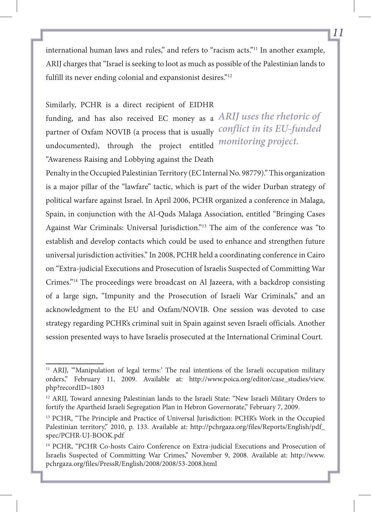international human laws and rules," and refers to "racism acts."<sup>11</sup> In another example, ARIJ charges that "Israel is seeking to loot as much as possible of the Palestinian lands to fulfill its never ending colonial and expansionist desires."<sup>12</sup>

#### Similarly, PCHR is a direct recipient of EIDHR

"Awareness Raising and Lobbying against the Death

funding, and has also received EC money as a *ARIJ uses the rhetoric of* partner of Oxfam NOVIB (a process that is usually *conflict in its EU-funded* undocumented), through the project entitled *monitoring project.*

Penalty in the Occupied Palestinian Territory (EC Internal No. 98779)." This organization is a major pillar of the "lawfare" tactic, which is part of the wider Durban strategy of political warfare against Israel. In April 2006, PCHR organized a conference in Malaga, Spain, in conjunction with the Al-Quds Malaga Association, entitled "Bringing Cases Against War Criminals: Universal Jurisdiction."13 The aim of the conference was "to establish and develop contacts which could be used to enhance and strengthen future universal jurisdiction activities." In 2008, PCHR held a coordinating conference in Cairo on "Extra-judicial Executions and Prosecution of Israelis Suspected of Committing War Crimes."14 The proceedings were broadcast on Al Jazeera, with a backdrop consisting of a large sign, "Impunity and the Prosecution of Israeli War Criminals," and an acknowledgment to the EU and Oxfam/NOVIB. One session was devoted to case strategy regarding PCHR's criminal suit in Spain against seven Israeli officials. Another session presented ways to have Israelis prosecuted at the International Criminal Court.

<sup>&</sup>lt;sup>11</sup> ARIJ, "'Manipulation of legal terms:' The real intentions of the Israeli occupation military orders," February 11, 2009. Available at: http://www.poica.org/editor/case\_studies/view. php?recordID=1803

<sup>&</sup>lt;sup>12</sup> ARIJ, Toward annexing Palestinian lands to the Israeli State: "New Israeli Military Orders to fortify the Apartheid Israeli Segregation Plan in Hebron Governorate," February 7, 2009.

<sup>&</sup>lt;sup>13</sup> PCHR, "The Principle and Practice of Universal Jurisdiction: PCHR's Work in the Occupied Palestinian territory," 2010, p. 133. Available at: http://pchrgaza.org/files/Reports/English/pdf\_ spec/PCHR-UJ-BOOK.pdf

<sup>&</sup>lt;sup>14</sup> PCHR, "PCHR Co-hosts Cairo Conference on Extra-judicial Executions and Prosecution of Israelis Suspected of Committing War Crimes," November 9, 2008. Available at: http://www. pchrgaza.org/files/PressR/English/2008/2008/53-2008.html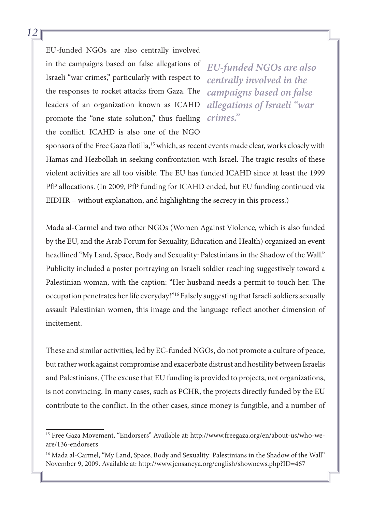EU-funded NGOs are also centrally involved in the campaigns based on false allegations of Israeli "war crimes," particularly with respect to the responses to rocket attacks from Gaza. The leaders of an organization known as ICAHD promote the "one state solution," thus fuelling the conflict. ICAHD is also one of the NGO

*EU-funded NGOs are also centrally involved in the campaigns based on false allegations of Israeli "war crimes."*

sponsors of the Free Gaza flotilla,<sup>15</sup> which, as recent events made clear, works closely with Hamas and Hezbollah in seeking confrontation with Israel. The tragic results of these violent activities are all too visible. The EU has funded ICAHD since at least the 1999 PfP allocations. (In 2009, PfP funding for ICAHD ended, but EU funding continued via EIDHR – without explanation, and highlighting the secrecy in this process.)

Mada al-Carmel and two other NGOs (Women Against Violence, which is also funded by the EU, and the Arab Forum for Sexuality, Education and Health) organized an event headlined "My Land, Space, Body and Sexuality: Palestinians in the Shadow of the Wall." Publicity included a poster portraying an Israeli soldier reaching suggestively toward a Palestinian woman, with the caption: "Her husband needs a permit to touch her. The occupation penetrates her life everyday!"16 Falsely suggesting that Israeli soldiers sexually assault Palestinian women, this image and the language reflect another dimension of incitement.

These and similar activities, led by EC-funded NGOs, do not promote a culture of peace, but rather work against compromise and exacerbate distrust and hostility between Israelis and Palestinians. (The excuse that EU funding is provided to projects, not organizations, is not convincing. In many cases, such as PCHR, the projects directly funded by the EU contribute to the conflict. In the other cases, since money is fungible, and a number of

<sup>15</sup> Free Gaza Movement, "Endorsers" Available at: http://www.freegaza.org/en/about-us/who-weare/136-endorsers

<sup>&</sup>lt;sup>16</sup> Mada al-Carmel, "My Land, Space, Body and Sexuality: Palestinians in the Shadow of the Wall" November 9, 2009. Available at: http://www.jensaneya.org/english/shownews.php?ID=467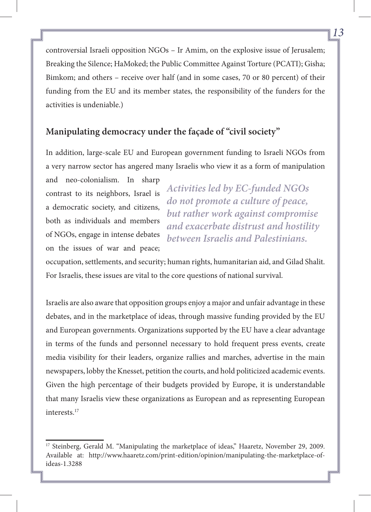controversial Israeli opposition NGOs – Ir Amim, on the explosive issue of Jerusalem; Breaking the Silence; HaMoked; the Public Committee Against Torture (PCATI); Gisha; Bimkom; and others – receive over half (and in some cases, 70 or 80 percent) of their funding from the EU and its member states, the responsibility of the funders for the activities is undeniable.)

#### **Manipulating democracy under the façade of "civil society"**

In addition, large-scale EU and European government funding to Israeli NGOs from a very narrow sector has angered many Israelis who view it as a form of manipulation

and neo-colonialism. In sharp contrast to its neighbors, Israel is a democratic society, and citizens, both as individuals and members of NGOs, engage in intense debates on the issues of war and peace;

*Activities led by EC-funded NGOs do not promote a culture of peace, but rather work against compromise and exacerbate distrust and hostility between Israelis and Palestinians.*

occupation, settlements, and security; human rights, humanitarian aid, and Gilad Shalit. For Israelis, these issues are vital to the core questions of national survival.

Israelis are also aware that opposition groups enjoy a major and unfair advantage in these debates, and in the marketplace of ideas, through massive funding provided by the EU and European governments. Organizations supported by the EU have a clear advantage in terms of the funds and personnel necessary to hold frequent press events, create media visibility for their leaders, organize rallies and marches, advertise in the main newspapers, lobby the Knesset, petition the courts, and hold politicized academic events. Given the high percentage of their budgets provided by Europe, it is understandable that many Israelis view these organizations as European and as representing European interests.17

<sup>&</sup>lt;sup>17</sup> Steinberg, Gerald M. "Manipulating the marketplace of ideas," Haaretz, November 29, 2009. Available at: http://www.haaretz.com/print-edition/opinion/manipulating-the-marketplace-ofideas-1.3288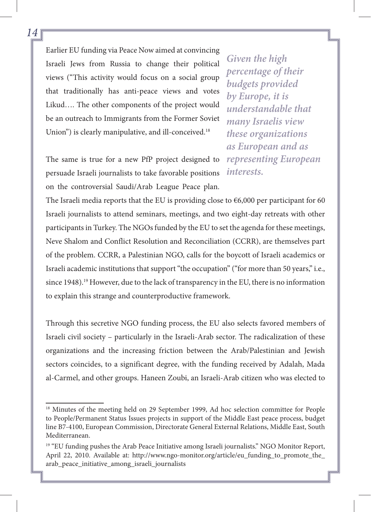Earlier EU funding via Peace Now aimed at convincing Israeli Jews from Russia to change their political views ("This activity would focus on a social group that traditionally has anti-peace views and votes Likud…. The other components of the project would be an outreach to Immigrants from the Former Soviet Union") is clearly manipulative, and ill-conceived.<sup>18</sup>

The same is true for a new PfP project designed to persuade Israeli journalists to take favorable positions on the controversial Saudi/Arab League Peace plan.

*Given the high percentage of their budgets provided by Europe, it is understandable that many Israelis view these organizations as European and as representing European interests.*

The Israeli media reports that the EU is providing close to  $6,000$  per participant for 60 Israeli journalists to attend seminars, meetings, and two eight-day retreats with other participants in Turkey. The NGOs funded by the EU to set the agenda for these meetings, Neve Shalom and Conflict Resolution and Reconciliation (CCRR), are themselves part of the problem. CCRR, a Palestinian NGO, calls for the boycott of Israeli academics or Israeli academic institutions that support "the occupation" ("for more than 50 years," i.e., since 1948).<sup>19</sup> However, due to the lack of transparency in the EU, there is no information to explain this strange and counterproductive framework.

Through this secretive NGO funding process, the EU also selects favored members of Israeli civil society – particularly in the Israeli-Arab sector. The radicalization of these organizations and the increasing friction between the Arab/Palestinian and Jewish sectors coincides, to a significant degree, with the funding received by Adalah, Mada al-Carmel, and other groups. Haneen Zoubi, an Israeli-Arab citizen who was elected to

<sup>&</sup>lt;sup>18</sup> Minutes of the meeting held on 29 September 1999, Ad hoc selection committee for People to People/Permanent Status Issues projects in support of the Middle East peace process, budget line B7-4100, European Commission, Directorate General External Relations, Middle East, South Mediterranean.

<sup>&</sup>lt;sup>19</sup> "EU funding pushes the Arab Peace Initiative among Israeli journalists." NGO Monitor Report, April 22, 2010. Available at: http://www.ngo-monitor.org/article/eu\_funding\_to\_promote\_the\_ arab\_peace\_initiative\_among\_israeli\_journalists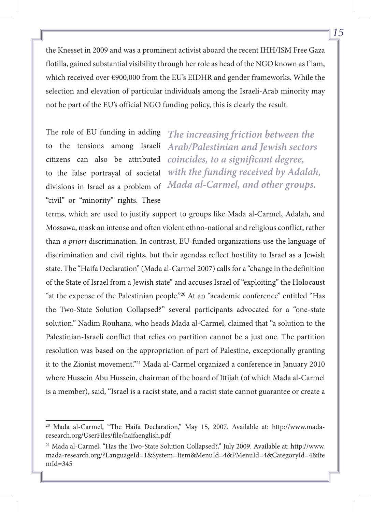the Knesset in 2009 and was a prominent activist aboard the recent IHH/ISM Free Gaza flotilla, gained substantial visibility through her role as head of the NGO known as I'lam, which received over €900,000 from the EU's EIDHR and gender frameworks. While the selection and elevation of particular individuals among the Israeli-Arab minority may not be part of the EU's official NGO funding policy, this is clearly the result.

The role of EU funding in adding to the tensions among Israeli to the false portrayal of societal divisions in Israel as a problem of "civil" or "minority" rights. These

The increasing friction between the *Arab/Palestinian and Jewish sectors*  citizens can also be attributed *coincides, to a significant degree, with the funding received by Adalah, Mada al-Carmel, and other groups.*

terms, which are used to justify support to groups like Mada al-Carmel, Adalah, and Mossawa, mask an intense and often violent ethno-national and religious conflict, rather than *a priori* discrimination. In contrast, EU-funded organizations use the language of discrimination and civil rights, but their agendas reflect hostility to Israel as a Jewish state. The "Haifa Declaration" (Mada al-Carmel 2007) calls for a "change in the definition of the State of Israel from a Jewish state" and accuses Israel of "exploiting" the Holocaust "at the expense of the Palestinian people."20 At an "academic conference" entitled "Has the Two-State Solution Collapsed?" several participants advocated for a "one-state solution." Nadim Rouhana, who heads Mada al-Carmel, claimed that "a solution to the Palestinian-Israeli conflict that relies on partition cannot be a just one. The partition resolution was based on the appropriation of part of Palestine, exceptionally granting it to the Zionist movement."21 Mada al-Carmel organized a conference in January 2010 where Hussein Abu Hussein, chairman of the board of Ittijah (of which Mada al-Carmel is a member), said, "Israel is a racist state, and a racist state cannot guarantee or create a

<sup>20</sup> Mada al-Carmel, "The Haifa Declaration," May 15, 2007. Available at: http://www.madaresearch.org/UserFiles/file/haifaenglish.pdf

<sup>21</sup> Mada al-Carmel, "Has the Two-State Solution Collapsed?," July 2009. Available at: http://www. mada-research.org/?LanguageId=1&System=Item&MenuId=4&PMenuId=4&CategoryId=4&Ite mId=345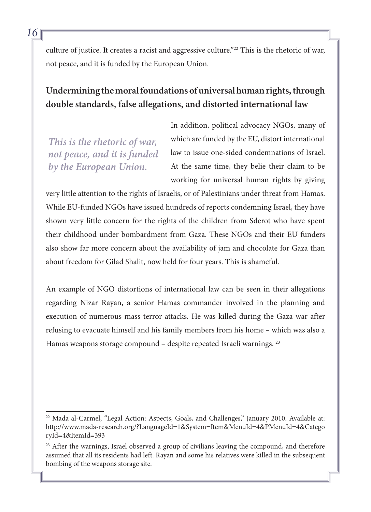culture of justice. It creates a racist and aggressive culture."22 This is the rhetoric of war, not peace, and it is funded by the European Union.

#### **Undermining the moral foundations of universal human rights, through double standards, false allegations, and distorted international law**

*This is the rhetoric of war, not peace, and it is funded by the European Union.*

In addition, political advocacy NGOs, many of which are funded by the EU, distort international law to issue one-sided condemnations of Israel. At the same time, they belie their claim to be working for universal human rights by giving

very little attention to the rights of Israelis, or of Palestinians under threat from Hamas. While EU-funded NGOs have issued hundreds of reports condemning Israel, they have shown very little concern for the rights of the children from Sderot who have spent their childhood under bombardment from Gaza. These NGOs and their EU funders also show far more concern about the availability of jam and chocolate for Gaza than about freedom for Gilad Shalit, now held for four years. This is shameful.

An example of NGO distortions of international law can be seen in their allegations regarding Nizar Rayan, a senior Hamas commander involved in the planning and execution of numerous mass terror attacks. He was killed during the Gaza war after refusing to evacuate himself and his family members from his home – which was also a Hamas weapons storage compound – despite repeated Israeli warnings. 23

<sup>&</sup>lt;sup>22</sup> Mada al-Carmel, "Legal Action: Aspects, Goals, and Challenges," January 2010. Available at: http://www.mada-research.org/?LanguageId=1&System=Item&MenuId=4&PMenuId=4&Catego ryId=4&ItemId=393

<sup>&</sup>lt;sup>23</sup> After the warnings, Israel observed a group of civilians leaving the compound, and therefore assumed that all its residents had left. Rayan and some his relatives were killed in the subsequent bombing of the weapons storage site.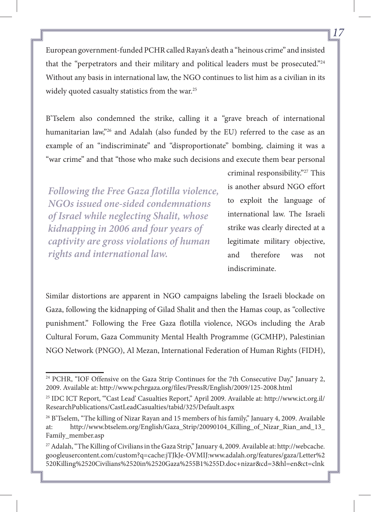European government-funded PCHR called Rayan's death a "heinous crime" and insisted that the "perpetrators and their military and political leaders must be prosecuted."24 Without any basis in international law, the NGO continues to list him as a civilian in its widely quoted casualty statistics from the war.<sup>25</sup>

B'Tselem also condemned the strike, calling it a "grave breach of international humanitarian law,"<sup>26</sup> and Adalah (also funded by the EU) referred to the case as an example of an "indiscriminate" and "disproportionate" bombing, claiming it was a "war crime" and that "those who make such decisions and execute them bear personal

*Following the Free Gaza flotilla violence, NGOs issued one-sided condemnations of Israel while neglecting Shalit, whose kidnapping in 2006 and four years of captivity are gross violations of human rights and international law.*

criminal responsibility."27 This is another absurd NGO effort to exploit the language of international law. The Israeli strike was clearly directed at a legitimate military objective, and therefore was not indiscriminate.

Similar distortions are apparent in NGO campaigns labeling the Israeli blockade on Gaza, following the kidnapping of Gilad Shalit and then the Hamas coup, as "collective punishment." Following the Free Gaza flotilla violence, NGOs including the Arab Cultural Forum, Gaza Community Mental Health Programme (GCMHP), Palestinian NGO Network (PNGO), Al Mezan, International Federation of Human Rights (FIDH),

<sup>&</sup>lt;sup>24</sup> PCHR, "IOF Offensive on the Gaza Strip Continues for the 7th Consecutive Day," January 2, 2009. Available at: http://www.pchrgaza.org/files/PressR/English/2009/125-2008.html

<sup>&</sup>lt;sup>25</sup> IDC ICT Report, "Cast Lead' Casualties Report," April 2009. Available at: http://www.ict.org.il/ ResearchPublications/CastLeadCasualties/tabid/325/Default.aspx

<sup>&</sup>lt;sup>26</sup> B'Tselem, "The killing of Nizar Rayan and 15 members of his family," January 4, 2009. Available at: http://www.btselem.org/English/Gaza\_Strip/20090104\_Killing\_of\_Nizar\_Rian\_and\_13\_ Family\_member.asp

<sup>27</sup> Adalah, "The Killing of Civilians in the Gaza Strip," January 4, 2009. Available at: http://webcache. googleusercontent.com/custom?q=cache:jTJkJe-OVMIJ:www.adalah.org/features/gaza/Letter%2 520Killing%2520Civilians%2520in%2520Gaza%255B1%255D.doc+nizar&cd=3&hl=en&ct=clnk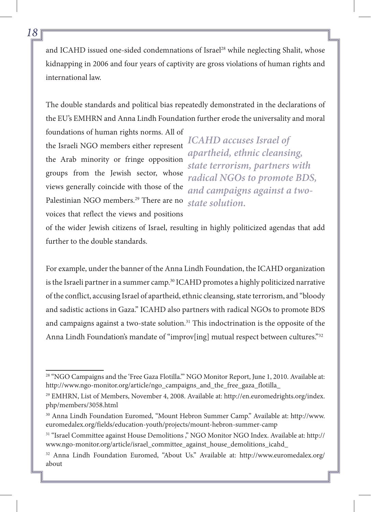and ICAHD issued one-sided condemnations of Israel<sup>28</sup> while neglecting Shalit, whose kidnapping in 2006 and four years of captivity are gross violations of human rights and international law.

The double standards and political bias repeatedly demonstrated in the declarations of the EU's EMHRN and Anna Lindh Foundation further erode the universality and moral

foundations of human rights norms. All of the Israeli NGO members either represent the Arab minority or fringe opposition groups from the Jewish sector, whose views generally coincide with those of the Palestinian NGO members.29 There are no *state solution.*voices that reflect the views and positions

*ICAHD accuses Israel of apartheid, ethnic cleansing, state terrorism, partners with radical NGOs to promote BDS, and campaigns against a two-*

of the wider Jewish citizens of Israel, resulting in highly politicized agendas that add further to the double standards.

For example, under the banner of the Anna Lindh Foundation, the ICAHD organization is the Israeli partner in a summer camp.<sup>30</sup> ICAHD promotes a highly politicized narrative of the conflict, accusing Israel of apartheid, ethnic cleansing, state terrorism, and "bloody and sadistic actions in Gaza." ICAHD also partners with radical NGOs to promote BDS and campaigns against a two-state solution.31 This indoctrination is the opposite of the Anna Lindh Foundation's mandate of "improv[ing] mutual respect between cultures."<sup>32</sup>

<sup>28 &</sup>quot;NGO Campaigns and the 'Free Gaza Flotilla.'" NGO Monitor Report, June 1, 2010. Available at: http://www.ngo-monitor.org/article/ngo\_campaigns\_and\_the\_free\_gaza\_flotilla\_

<sup>29</sup> EMHRN, List of Members, November 4, 2008. Available at: http://en.euromedrights.org/index. php/members/3058.html

<sup>30</sup> Anna Lindh Foundation Euromed, "Mount Hebron Summer Camp." Available at: http://www. euromedalex.org/fields/education-youth/projects/mount-hebron-summer-camp

<sup>&</sup>lt;sup>31</sup> "Israel Committee against House Demolitions ," NGO Monitor NGO Index. Available at: http:// www.ngo-monitor.org/article/israel\_committee\_against\_house\_demolitions\_icahd\_

<sup>32</sup> Anna Lindh Foundation Euromed, "About Us." Available at: http://www.euromedalex.org/ about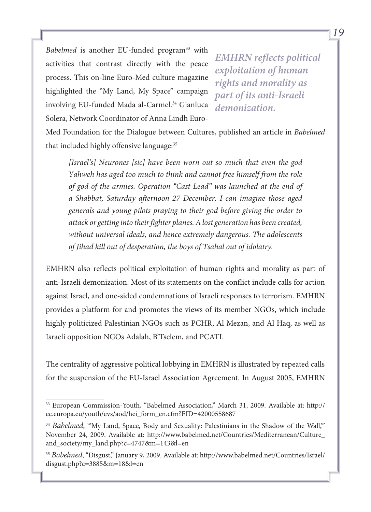*Babelmed* is another EU-funded program<sup>33</sup> with activities that contrast directly with the peace process. This on-line Euro-Med culture magazine highlighted the "My Land, My Space" campaign involving EU-funded Mada al-Carmel.<sup>34</sup> Gianluca Solera, Network Coordinator of Anna Lindh Euro-

*EMHRN reflects political exploitation of human rights and morality as part of its anti-Israeli demonization.*

Med Foundation for the Dialogue between Cultures, published an article in *Babelmed* that included highly offensive language:<sup>35</sup>

*[Israel's] Neurones [sic] have been worn out so much that even the god Yahweh has aged too much to think and cannot free himself from the role of god of the armies. Operation "Cast Lead" was launched at the end of a Shabbat, Saturday afternoon 27 December. I can imagine those aged generals and young pilots praying to their god before giving the order to attack or getting into their fighter planes. A lost generation has been created, without universal ideals, and hence extremely dangerous. The adolescents of Jihad kill out of desperation, the boys of Tsahal out of idolatry.*

EMHRN also reflects political exploitation of human rights and morality as part of anti-Israeli demonization. Most of its statements on the conflict include calls for action against Israel, and one-sided condemnations of Israeli responses to terrorism. EMHRN provides a platform for and promotes the views of its member NGOs, which include highly politicized Palestinian NGOs such as PCHR, Al Mezan, and Al Haq, as well as Israeli opposition NGOs Adalah, B'Tselem, and PCATI.

The centrality of aggressive political lobbying in EMHRN is illustrated by repeated calls for the suspension of the EU-Israel Association Agreement. In August 2005, EMHRN

<sup>33</sup> European Commission-Youth, "Babelmed Association," March 31, 2009. Available at: http:// ec.europa.eu/youth/evs/aod/hei\_form\_en.cfm?EID=42000558687

<sup>&</sup>lt;sup>34</sup> Babelmed, "'My Land, Space, Body and Sexuality: Palestinians in the Shadow of the Wall," November 24, 2009. Available at: http://www.babelmed.net/Countries/Mediterranean/Culture\_ and\_society/my\_land.php?c=4747&m=143&l=en

<sup>35</sup> *Babelmed*, "Disgust," January 9, 2009. Available at: http://www.babelmed.net/Countries/Israel/ disgust.php?c=3885&m=18&l=en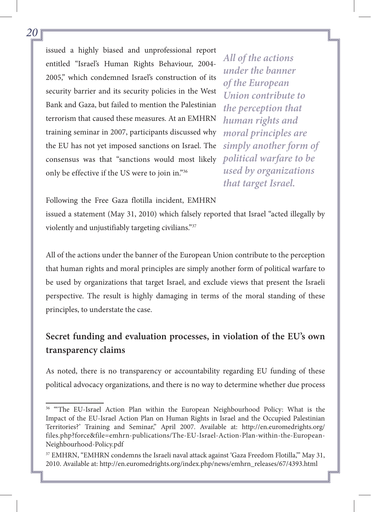issued a highly biased and unprofessional report entitled "Israel's Human Rights Behaviour, 2004- 2005," which condemned Israel's construction of its security barrier and its security policies in the West Bank and Gaza, but failed to mention the Palestinian terrorism that caused these measures. At an EMHRN training seminar in 2007, participants discussed why the EU has not yet imposed sanctions on Israel. The consensus was that "sanctions would most likely only be effective if the US were to join in."36

*All of the actions under the banner of the European Union contribute to the perception that human rights and moral principles are simply another form of political warfare to be used by organizations that target Israel.*

Following the Free Gaza flotilla incident, EMHRN

issued a statement (May 31, 2010) which falsely reported that Israel "acted illegally by violently and unjustifiably targeting civilians."37

All of the actions under the banner of the European Union contribute to the perception that human rights and moral principles are simply another form of political warfare to be used by organizations that target Israel, and exclude views that present the Israeli perspective. The result is highly damaging in terms of the moral standing of these principles, to understate the case.

#### **Secret funding and evaluation processes, in violation of the EU's own transparency claims**

As noted, there is no transparency or accountability regarding EU funding of these political advocacy organizations, and there is no way to determine whether due process

<sup>&</sup>lt;sup>36</sup> "The EU-Israel Action Plan within the European Neighbourhood Policy: What is the Impact of the EU-Israel Action Plan on Human Rights in Israel and the Occupied Palestinian Territories?' Training and Seminar," April 2007. Available at: http://en.euromedrights.org/ files.php?force&file=emhrn-publications/The-EU-Israel-Action-Plan-within-the-European-Neighbourhood-Policy.pdf

<sup>37</sup> EMHRN, "EMHRN condemns the Israeli naval attack against 'Gaza Freedom Flotilla,'" May 31, 2010. Available at: http://en.euromedrights.org/index.php/news/emhrn\_releases/67/4393.html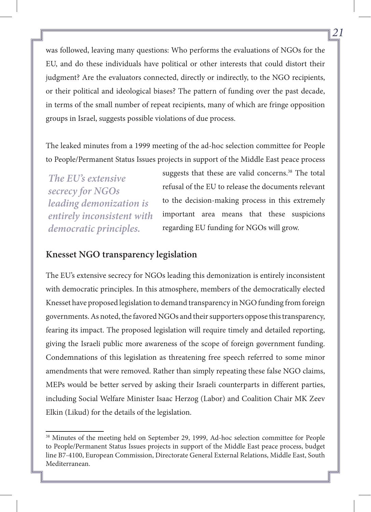was followed, leaving many questions: Who performs the evaluations of NGOs for the EU, and do these individuals have political or other interests that could distort their judgment? Are the evaluators connected, directly or indirectly, to the NGO recipients, or their political and ideological biases? The pattern of funding over the past decade, in terms of the small number of repeat recipients, many of which are fringe opposition groups in Israel, suggests possible violations of due process.

The leaked minutes from a 1999 meeting of the ad-hoc selection committee for People to People/Permanent Status Issues projects in support of the Middle East peace process

*The EU's extensive secrecy for NGOs leading demonization is entirely inconsistent with democratic principles.*

suggests that these are valid concerns.<sup>38</sup> The total refusal of the EU to release the documents relevant to the decision-making process in this extremely important area means that these suspicions regarding EU funding for NGOs will grow.

#### **Knesset NGO transparency legislation**

The EU's extensive secrecy for NGOs leading this demonization is entirely inconsistent with democratic principles. In this atmosphere, members of the democratically elected Knesset have proposed legislation to demand transparency in NGO funding from foreign governments. As noted, the favored NGOs and their supporters oppose this transparency, fearing its impact. The proposed legislation will require timely and detailed reporting, giving the Israeli public more awareness of the scope of foreign government funding. Condemnations of this legislation as threatening free speech referred to some minor amendments that were removed. Rather than simply repeating these false NGO claims, MEPs would be better served by asking their Israeli counterparts in different parties, including Social Welfare Minister Isaac Herzog (Labor) and Coalition Chair MK Zeev Elkin (Likud) for the details of the legislation.

<sup>&</sup>lt;sup>38</sup> Minutes of the meeting held on September 29, 1999, Ad-hoc selection committee for People to People/Permanent Status Issues projects in support of the Middle East peace process, budget line B7-4100, European Commission, Directorate General External Relations, Middle East, South Mediterranean.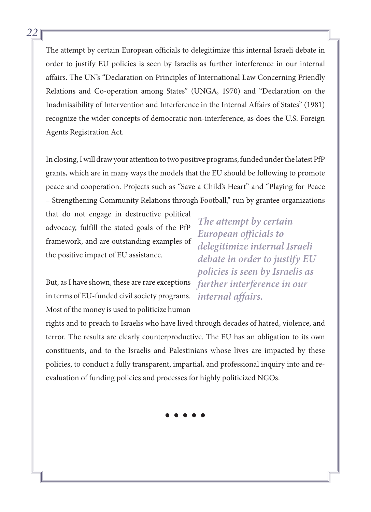The attempt by certain European officials to delegitimize this internal Israeli debate in order to justify EU policies is seen by Israelis as further interference in our internal affairs. The UN's "Declaration on Principles of International Law Concerning Friendly Relations and Co-operation among States" (UNGA, 1970) and "Declaration on the Inadmissibility of Intervention and Interference in the Internal Affairs of States" (1981) recognize the wider concepts of democratic non-interference, as does the U.S. Foreign Agents Registration Act.

In closing, I will draw your attention to two positive programs, funded under the latest PfP grants, which are in many ways the models that the EU should be following to promote peace and cooperation. Projects such as "Save a Child's Heart" and "Playing for Peace – Strengthening Community Relations through Football," run by grantee organizations

that do not engage in destructive political advocacy, fulfill the stated goals of the PfP framework, and are outstanding examples of the positive impact of EU assistance.

*The attempt by certain European officials to delegitimize internal Israeli debate in order to justify EU policies is seen by Israelis as* 

But, as I have shown, these are rare exceptions *further interference in our* in terms of EU-funded civil society programs. *internal affairs.* Most of the money is used to politicize human

rights and to preach to Israelis who have lived through decades of hatred, violence, and terror. The results are clearly counterproductive. The EU has an obligation to its own constituents, and to the Israelis and Palestinians whose lives are impacted by these policies, to conduct a fully transparent, impartial, and professional inquiry into and reevaluation of funding policies and processes for highly politicized NGOs.

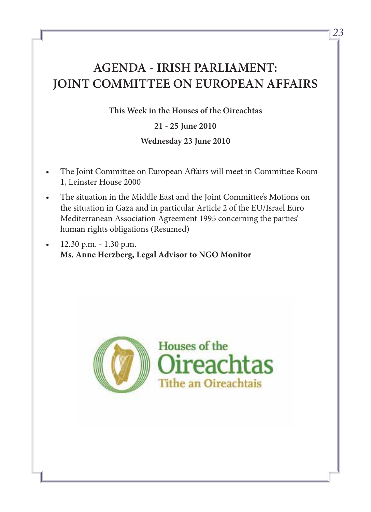#### **AGENDA - IRISH PARLIAMENT: JOINT COMMITTEE ON EUROPEAN AFFAIRS**

*23*

**This Week in the Houses of the Oireachtas**

**21 - 25 June 2010**

**Wednesday 23 June 2010**

- The Joint Committee on European Affairs will meet in Committee Room 1, Leinster House 2000
- The situation in the Middle East and the Joint Committee's Motions on the situation in Gaza and in particular Article 2 of the EU/Israel Euro Mediterranean Association Agreement 1995 concerning the parties' human rights obligations (Resumed)
- 12.30 p.m. 1.30 p.m. **Ms. Anne Herzberg, Legal Advisor to NGO Monitor**

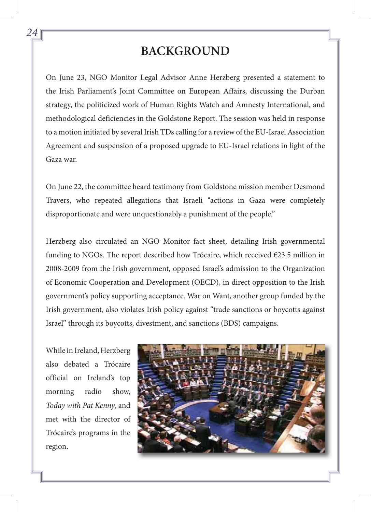#### **BACKGROUND**

On June 23, NGO Monitor Legal Advisor Anne Herzberg presented a statement to the Irish Parliament's Joint Committee on European Affairs, discussing the Durban strategy, the politicized work of Human Rights Watch and Amnesty International, and methodological deficiencies in the Goldstone Report. The session was held in response to a motion initiated by several Irish TDs calling for a review of the EU-Israel Association Agreement and suspension of a proposed upgrade to EU-Israel relations in light of the Gaza war.

On June 22, the committee heard testimony from Goldstone mission member Desmond Travers, who repeated allegations that Israeli "actions in Gaza were completely disproportionate and were unquestionably a punishment of the people."

Herzberg also circulated an NGO Monitor fact sheet, detailing Irish governmental funding to NGOs. The report described how Trócaire, which received €23.5 million in 2008-2009 from the Irish government, opposed Israel's admission to the Organization of Economic Cooperation and Development (OECD), in direct opposition to the Irish government's policy supporting acceptance. War on Want, another group funded by the Irish government, also violates Irish policy against "trade sanctions or boycotts against Israel" through its boycotts, divestment, and sanctions (BDS) campaigns.

While in Ireland, Herzberg also debated a Trócaire official on Ireland's top morning radio show, *Today with Pat Kenny*, and met with the director of Trócaire's programs in the region.

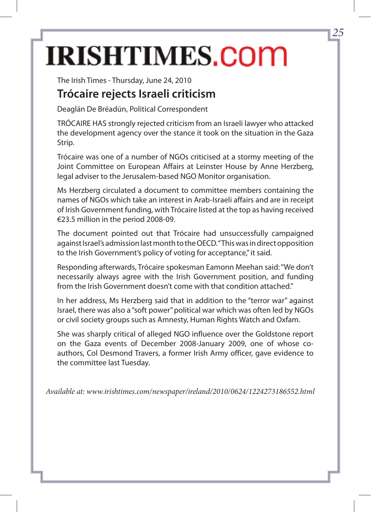## **IRISHTIMES.COM**

The Irish Times - Thursday, June 24, 2010

#### **Trócaire rejects Israeli criticism**

Deaglán De Bréadún, Political Correspondent

TRÓCAIRE HAS strongly rejected criticism from an Israeli lawyer who attacked the development agency over the stance it took on the situation in the Gaza Strip.

Trócaire was one of a number of NGOs criticised at a stormy meeting of the Joint Committee on European Affairs at Leinster House by Anne Herzberg, legal adviser to the Jerusalem-based NGO Monitor organisation.

Ms Herzberg circulated a document to committee members containing the names of NGOs which take an interest in Arab-Israeli affairs and are in receipt of Irish Government funding, with Trócaire listed at the top as having received €23.5 million in the period 2008-09.

The document pointed out that Trócaire had unsuccessfully campaigned against Israel's admission last month to the OECD. "This was in direct opposition to the Irish Government's policy of voting for acceptance," it said.

Responding afterwards, Trócaire spokesman Eamonn Meehan said: "We don't necessarily always agree with the Irish Government position, and funding from the Irish Government doesn't come with that condition attached."

In her address, Ms Herzberg said that in addition to the "terror war" against Israel, there was also a "soft power" political war which was often led by NGOs or civil society groups such as Amnesty, Human Rights Watch and Oxfam.

She was sharply critical of alleged NGO influence over the Goldstone report on the Gaza events of December 2008-January 2009, one of whose coauthors, Col Desmond Travers, a former Irish Army officer, gave evidence to the committee last Tuesday.

*Available at: www.irishtimes.com/newspaper/ireland/2010/0624/1224273186552.html*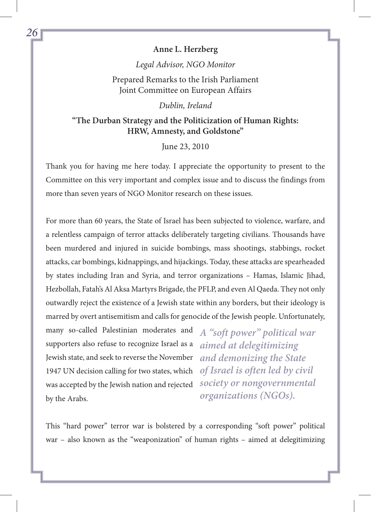#### **Anne L. Herzberg**

*Legal Advisor, NGO Monitor*

Prepared Remarks to the Irish Parliament Joint Committee on European Affairs

*Dublin, Ireland*

#### **"The Durban Strategy and the Politicization of Human Rights: HRW, Amnesty, and Goldstone"**

June 23, 2010

Thank you for having me here today. I appreciate the opportunity to present to the Committee on this very important and complex issue and to discuss the findings from more than seven years of NGO Monitor research on these issues.

For more than 60 years, the State of Israel has been subjected to violence, warfare, and a relentless campaign of terror attacks deliberately targeting civilians. Thousands have been murdered and injured in suicide bombings, mass shootings, stabbings, rocket attacks, car bombings, kidnappings, and hijackings. Today, these attacks are spearheaded by states including Iran and Syria, and terror organizations – Hamas, Islamic Jihad, Hezbollah, Fatah's Al Aksa Martyrs Brigade, the PFLP, and even Al Qaeda. They not only outwardly reject the existence of a Jewish state within any borders, but their ideology is marred by overt antisemitism and calls for genocide of the Jewish people. Unfortunately,

many so-called Palestinian moderates and supporters also refuse to recognize Israel as a Jewish state, and seek to reverse the November 1947 UN decision calling for two states, which *of Israel is often led by civil* was accepted by the Jewish nation and rejected by the Arabs.

*A "soft power" political war aimed at delegitimizing and demonizing the State society or nongovernmental organizations (NGOs).*

This "hard power" terror war is bolstered by a corresponding "soft power" political war – also known as the "weaponization" of human rights – aimed at delegitimizing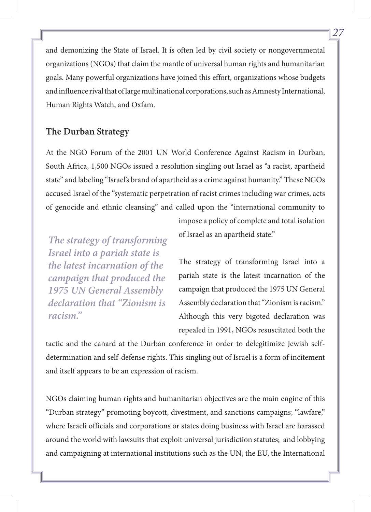and demonizing the State of Israel. It is often led by civil society or nongovernmental organizations (NGOs) that claim the mantle of universal human rights and humanitarian goals. Many powerful organizations have joined this effort, organizations whose budgets and influence rival that of large multinational corporations, such as Amnesty International, Human Rights Watch, and Oxfam.

#### **The Durban Strategy**

At the NGO Forum of the 2001 UN World Conference Against Racism in Durban, South Africa, 1,500 NGOs issued a resolution singling out Israel as "a racist, apartheid state" and labeling "Israel's brand of apartheid as a crime against humanity." These NGOs accused Israel of the "systematic perpetration of racist crimes including war crimes, acts of genocide and ethnic cleansing" and called upon the "international community to

*The strategy of transforming Israel into a pariah state is the latest incarnation of the campaign that produced the 1975 UN General Assembly declaration that "Zionism is racism."*

impose a policy of complete and total isolation of Israel as an apartheid state."

The strategy of transforming Israel into a pariah state is the latest incarnation of the campaign that produced the 1975 UN General Assembly declaration that "Zionism is racism." Although this very bigoted declaration was repealed in 1991, NGOs resuscitated both the

tactic and the canard at the Durban conference in order to delegitimize Jewish selfdetermination and self-defense rights. This singling out of Israel is a form of incitement and itself appears to be an expression of racism.

NGOs claiming human rights and humanitarian objectives are the main engine of this "Durban strategy" promoting boycott, divestment, and sanctions campaigns; "lawfare," where Israeli officials and corporations or states doing business with Israel are harassed around the world with lawsuits that exploit universal jurisdiction statutes; and lobbying and campaigning at international institutions such as the UN, the EU, the International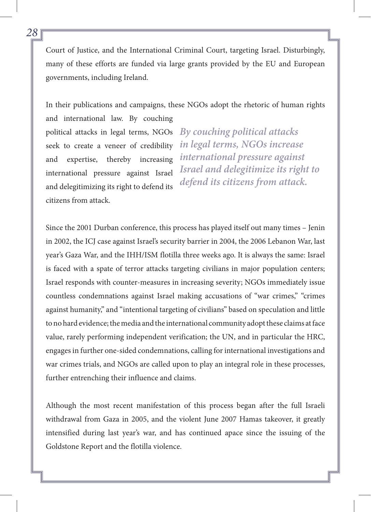Court of Justice, and the International Criminal Court, targeting Israel. Disturbingly, many of these efforts are funded via large grants provided by the EU and European governments, including Ireland.

In their publications and campaigns, these NGOs adopt the rhetoric of human rights and international law. By couching

political attacks in legal terms, NGOs *By couching political attacks* and expertise, thereby increasing international pressure against Israel and delegitimizing its right to defend its citizens from attack.

seek to create a veneer of credibility *in legal terms, NGOs increase international pressure against Israel and delegitimize its right to defend its citizens from attack.*

Since the 2001 Durban conference, this process has played itself out many times – Jenin in 2002, the ICJ case against Israel's security barrier in 2004, the 2006 Lebanon War, last year's Gaza War, and the IHH/ISM flotilla three weeks ago. It is always the same: Israel is faced with a spate of terror attacks targeting civilians in major population centers; Israel responds with counter-measures in increasing severity; NGOs immediately issue countless condemnations against Israel making accusations of "war crimes," "crimes against humanity," and "intentional targeting of civilians" based on speculation and little to no hard evidence; the media and the international community adopt these claims at face value, rarely performing independent verification; the UN, and in particular the HRC, engages in further one-sided condemnations, calling for international investigations and war crimes trials, and NGOs are called upon to play an integral role in these processes, further entrenching their influence and claims.

Although the most recent manifestation of this process began after the full Israeli withdrawal from Gaza in 2005, and the violent June 2007 Hamas takeover, it greatly intensified during last year's war, and has continued apace since the issuing of the Goldstone Report and the flotilla violence.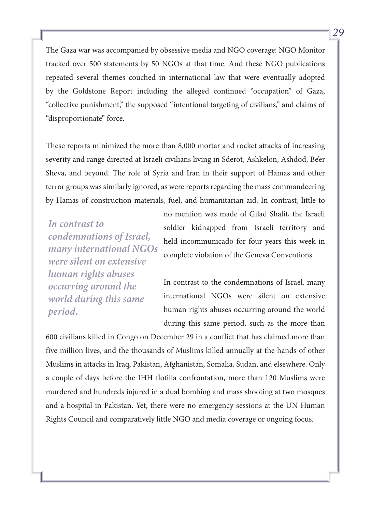The Gaza war was accompanied by obsessive media and NGO coverage: NGO Monitor tracked over 500 statements by 50 NGOs at that time. And these NGO publications repeated several themes couched in international law that were eventually adopted by the Goldstone Report including the alleged continued "occupation" of Gaza, "collective punishment," the supposed "intentional targeting of civilians," and claims of "disproportionate" force.

These reports minimized the more than 8,000 mortar and rocket attacks of increasing severity and range directed at Israeli civilians living in Sderot, Ashkelon, Ashdod, Be'er Sheva, and beyond. The role of Syria and Iran in their support of Hamas and other terror groups was similarly ignored, as were reports regarding the mass commandeering by Hamas of construction materials, fuel, and humanitarian aid. In contrast, little to

*In contrast to condemnations of Israel, many international NGOs were silent on extensive human rights abuses occurring around the world during this same period.*

no mention was made of Gilad Shalit, the Israeli soldier kidnapped from Israeli territory and held incommunicado for four years this week in complete violation of the Geneva Conventions.

In contrast to the condemnations of Israel, many international NGOs were silent on extensive human rights abuses occurring around the world during this same period, such as the more than

600 civilians killed in Congo on December 29 in a conflict that has claimed more than five million lives, and the thousands of Muslims killed annually at the hands of other Muslims in attacks in Iraq, Pakistan, Afghanistan, Somalia, Sudan, and elsewhere. Only a couple of days before the IHH flotilla confrontation, more than 120 Muslims were murdered and hundreds injured in a dual bombing and mass shooting at two mosques and a hospital in Pakistan. Yet, there were no emergency sessions at the UN Human Rights Council and comparatively little NGO and media coverage or ongoing focus.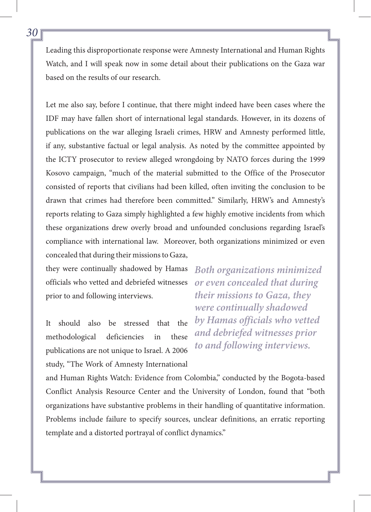Leading this disproportionate response were Amnesty International and Human Rights Watch, and I will speak now in some detail about their publications on the Gaza war based on the results of our research.

Let me also say, before I continue, that there might indeed have been cases where the IDF may have fallen short of international legal standards. However, in its dozens of publications on the war alleging Israeli crimes, HRW and Amnesty performed little, if any, substantive factual or legal analysis. As noted by the committee appointed by the ICTY prosecutor to review alleged wrongdoing by NATO forces during the 1999 Kosovo campaign, "much of the material submitted to the Office of the Prosecutor consisted of reports that civilians had been killed, often inviting the conclusion to be drawn that crimes had therefore been committed." Similarly, HRW's and Amnesty's reports relating to Gaza simply highlighted a few highly emotive incidents from which these organizations drew overly broad and unfounded conclusions regarding Israel's compliance with international law. Moreover, both organizations minimized or even concealed that during their missions to Gaza,

they were continually shadowed by Hamas officials who vetted and debriefed witnesses prior to and following interviews.

It should also be stressed that the methodological deficiencies in these publications are not unique to Israel. A 2006 study, "The Work of Amnesty International

*Both organizations minimized or even concealed that during their missions to Gaza, they were continually shadowed by Hamas officials who vetted and debriefed witnesses prior to and following interviews.*

and Human Rights Watch: Evidence from Colombia," conducted by the Bogota-based Conflict Analysis Resource Center and the University of London, found that "both organizations have substantive problems in their handling of quantitative information. Problems include failure to specify sources, unclear definitions, an erratic reporting template and a distorted portrayal of conflict dynamics."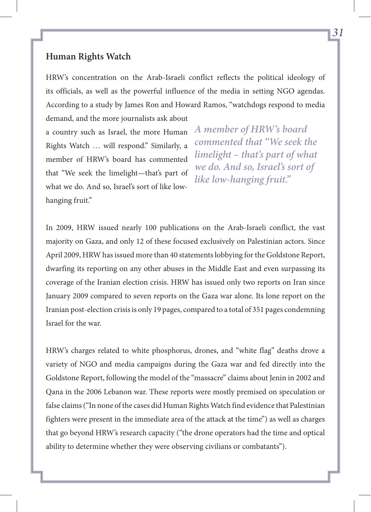#### **Human Rights Watch**

HRW's concentration on the Arab-Israeli conflict reflects the political ideology of its officials, as well as the powerful influence of the media in setting NGO agendas. According to a study by James Ron and Howard Ramos, "watchdogs respond to media demand, and the more journalists ask about

a country such as Israel, the more Human Rights Watch … will respond." Similarly, a member of HRW's board has commented that "We seek the limelight—that's part of what we do. And so, Israel's sort of like lowhanging fruit."

*A member of HRW's board commented that "We seek the limelight – that's part of what we do. And so, Israel's sort of like low-hanging fruit."*

In 2009, HRW issued nearly 100 publications on the Arab-Israeli conflict, the vast majority on Gaza, and only 12 of these focused exclusively on Palestinian actors. Since April 2009, HRW has issued more than 40 statements lobbying for the Goldstone Report, dwarfing its reporting on any other abuses in the Middle East and even surpassing its coverage of the Iranian election crisis. HRW has issued only two reports on Iran since January 2009 compared to seven reports on the Gaza war alone. Its lone report on the Iranian post-election crisis is only 19 pages, compared to a total of 351 pages condemning Israel for the war.

HRW's charges related to white phosphorus, drones, and "white flag" deaths drove a variety of NGO and media campaigns during the Gaza war and fed directly into the Goldstone Report, following the model of the "massacre" claims about Jenin in 2002 and Qana in the 2006 Lebanon war. These reports were mostly premised on speculation or false claims ("In none of the cases did Human Rights Watch find evidence that Palestinian fighters were present in the immediate area of the attack at the time") as well as charges that go beyond HRW's research capacity ("the drone operators had the time and optical ability to determine whether they were observing civilians or combatants").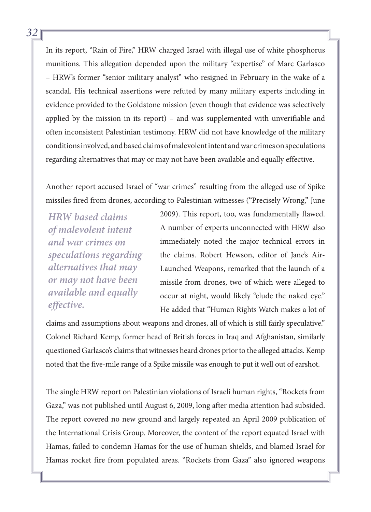In its report, "Rain of Fire," HRW charged Israel with illegal use of white phosphorus munitions. This allegation depended upon the military "expertise" of Marc Garlasco – HRW's former "senior military analyst" who resigned in February in the wake of a scandal. His technical assertions were refuted by many military experts including in evidence provided to the Goldstone mission (even though that evidence was selectively applied by the mission in its report) – and was supplemented with unverifiable and often inconsistent Palestinian testimony. HRW did not have knowledge of the military conditions involved, and based claims of malevolent intent and war crimes on speculations regarding alternatives that may or may not have been available and equally effective.

Another report accused Israel of "war crimes" resulting from the alleged use of Spike missiles fired from drones, according to Palestinian witnesses ("Precisely Wrong," June

*HRW based claims of malevolent intent and war crimes on speculations regarding alternatives that may or may not have been available and equally effective.*

2009). This report, too, was fundamentally flawed. A number of experts unconnected with HRW also immediately noted the major technical errors in the claims. Robert Hewson, editor of Jane's Air-Launched Weapons, remarked that the launch of a missile from drones, two of which were alleged to occur at night, would likely "elude the naked eye." He added that "Human Rights Watch makes a lot of

claims and assumptions about weapons and drones, all of which is still fairly speculative." Colonel Richard Kemp, former head of British forces in Iraq and Afghanistan, similarly questioned Garlasco's claims that witnesses heard drones prior to the alleged attacks. Kemp noted that the five-mile range of a Spike missile was enough to put it well out of earshot.

The single HRW report on Palestinian violations of Israeli human rights, "Rockets from Gaza," was not published until August 6, 2009, long after media attention had subsided. The report covered no new ground and largely repeated an April 2009 publication of the International Crisis Group. Moreover, the content of the report equated Israel with Hamas, failed to condemn Hamas for the use of human shields, and blamed Israel for Hamas rocket fire from populated areas. "Rockets from Gaza" also ignored weapons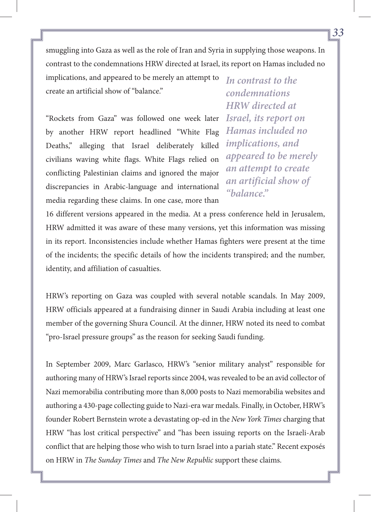smuggling into Gaza as well as the role of Iran and Syria in supplying those weapons. In contrast to the condemnations HRW directed at Israel, its report on Hamas included no

implications, and appeared to be merely an attempt to create an artificial show of "balance."

"Rockets from Gaza" was followed one week later by another HRW report headlined "White Flag Deaths," alleging that Israel deliberately killed civilians waving white flags. White Flags relied on conflicting Palestinian claims and ignored the major discrepancies in Arabic-language and international media regarding these claims. In one case, more than

*In contrast to the condemnations HRW directed at Israel, its report on Hamas included no implications, and appeared to be merely an attempt to create an artificial show of "balance."*

16 different versions appeared in the media. At a press conference held in Jerusalem, HRW admitted it was aware of these many versions, yet this information was missing in its report. Inconsistencies include whether Hamas fighters were present at the time of the incidents; the specific details of how the incidents transpired; and the number, identity, and affiliation of casualties.

HRW's reporting on Gaza was coupled with several notable scandals. In May 2009, HRW officials appeared at a fundraising dinner in Saudi Arabia including at least one member of the governing Shura Council. At the dinner, HRW noted its need to combat "pro-Israel pressure groups" as the reason for seeking Saudi funding.

In September 2009, Marc Garlasco, HRW's "senior military analyst" responsible for authoring many of HRW's Israel reports since 2004, was revealed to be an avid collector of Nazi memorabilia contributing more than 8,000 posts to Nazi memorabilia websites and authoring a 430-page collecting guide to Nazi-era war medals. Finally, in October, HRW's founder Robert Bernstein wrote a devastating op-ed in the *New York Times* charging that HRW "has lost critical perspective" and "has been issuing reports on the Israeli-Arab conflict that are helping those who wish to turn Israel into a pariah state." Recent exposés on HRW in *The Sunday Times* and *The New Republic* support these claims.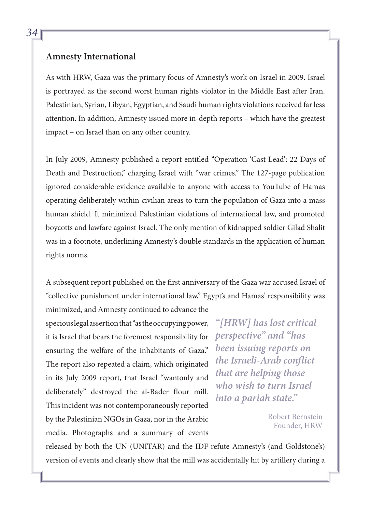#### **Amnesty International**

As with HRW, Gaza was the primary focus of Amnesty's work on Israel in 2009. Israel is portrayed as the second worst human rights violator in the Middle East after Iran. Palestinian, Syrian, Libyan, Egyptian, and Saudi human rights violations received far less attention. In addition, Amnesty issued more in-depth reports – which have the greatest impact – on Israel than on any other country.

In July 2009, Amnesty published a report entitled "Operation 'Cast Lead': 22 Days of Death and Destruction," charging Israel with "war crimes." The 127-page publication ignored considerable evidence available to anyone with access to YouTube of Hamas operating deliberately within civilian areas to turn the population of Gaza into a mass human shield. It minimized Palestinian violations of international law, and promoted boycotts and lawfare against Israel. The only mention of kidnapped soldier Gilad Shalit was in a footnote, underlining Amnesty's double standards in the application of human rights norms.

A subsequent report published on the first anniversary of the Gaza war accused Israel of "collective punishment under international law," Egypt's and Hamas' responsibility was minimized, and Amnesty continued to advance the

specious legal assertion that "as the occupying power, it is Israel that bears the foremost responsibility for ensuring the welfare of the inhabitants of Gaza." The report also repeated a claim, which originated in its July 2009 report, that Israel "wantonly and deliberately" destroyed the al-Bader flour mill. This incident was not contemporaneously reported by the Palestinian NGOs in Gaza, nor in the Arabic media. Photographs and a summary of events

*"[HRW] has lost critical perspective" and "has been issuing reports on the Israeli-Arab conflict that are helping those who wish to turn Israel into a pariah state."*

> Robert Bernstein Founder, HRW

released by both the UN (UNITAR) and the IDF refute Amnesty's (and Goldstone's) version of events and clearly show that the mill was accidentally hit by artillery during a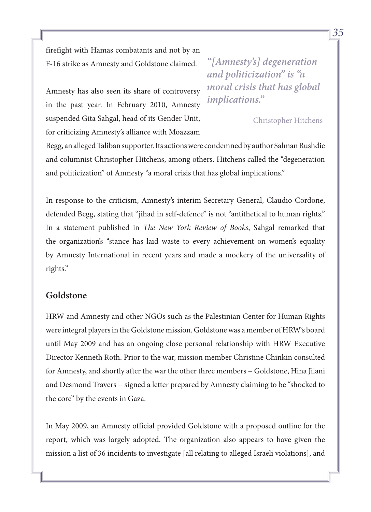firefight with Hamas combatants and not by an F-16 strike as Amnesty and Goldstone claimed.

*"[Amnesty's] degeneration and politicization" is "a moral crisis that has global implications."*

Amnesty has also seen its share of controversy in the past year. In February 2010, Amnesty suspended Gita Sahgal, head of its Gender Unit, for criticizing Amnesty's alliance with Moazzam

Christopher Hitchens

Begg, an alleged Taliban supporter. Its actions were condemned by author Salman Rushdie and columnist Christopher Hitchens, among others. Hitchens called the "degeneration and politicization" of Amnesty "a moral crisis that has global implications."

In response to the criticism, Amnesty's interim Secretary General, Claudio Cordone, defended Begg, stating that "jihad in self-defence" is not "antithetical to human rights." In a statement published in *The New York Review of Books*, Sahgal remarked that the organization's "stance has laid waste to every achievement on women's equality by Amnesty International in recent years and made a mockery of the universality of rights."

#### **Goldstone**

HRW and Amnesty and other NGOs such as the Palestinian Center for Human Rights were integral players in the Goldstone mission. Goldstone was a member of HRW's board until May 2009 and has an ongoing close personal relationship with HRW Executive Director Kenneth Roth. Prior to the war, mission member Christine Chinkin consulted for Amnesty, and shortly after the war the other three members − Goldstone, Hina Jilani and Desmond Travers − signed a letter prepared by Amnesty claiming to be "shocked to the core" by the events in Gaza.

In May 2009, an Amnesty official provided Goldstone with a proposed outline for the report, which was largely adopted. The organization also appears to have given the mission a list of 36 incidents to investigate [all relating to alleged Israeli violations], and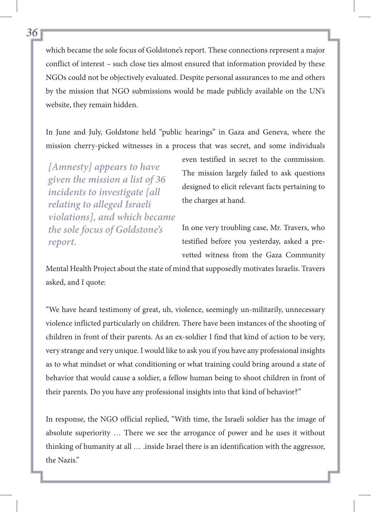which became the sole focus of Goldstone's report. These connections represent a major conflict of interest – such close ties almost ensured that information provided by these NGOs could not be objectively evaluated. Despite personal assurances to me and others by the mission that NGO submissions would be made publicly available on the UN's website, they remain hidden.

In June and July, Goldstone held "public hearings" in Gaza and Geneva, where the mission cherry-picked witnesses in a process that was secret, and some individuals

*[Amnesty] appears to have given the mission a list of 36 incidents to investigate [all relating to alleged Israeli violations], and which became the sole focus of Goldstone's report.*

even testified in secret to the commission. The mission largely failed to ask questions designed to elicit relevant facts pertaining to the charges at hand.

In one very troubling case, Mr. Travers, who testified before you yesterday, asked a prevetted witness from the Gaza Community

Mental Health Project about the state of mind that supposedly motivates Israelis. Travers asked, and I quote:

"We have heard testimony of great, uh, violence, seemingly un-militarily, unnecessary violence inflicted particularly on children. There have been instances of the shooting of children in front of their parents. As an ex-soldier I find that kind of action to be very, very strange and very unique. I would like to ask you if you have any professional insights as to what mindset or what conditioning or what training could bring around a state of behavior that would cause a soldier, a fellow human being to shoot children in front of their parents. Do you have any professional insights into that kind of behavior?"

In response, the NGO official replied, "With time, the Israeli soldier has the image of absolute superiority … There we see the arrogance of power and he uses it without thinking of humanity at all … .inside Israel there is an identification with the aggressor, the Nazis."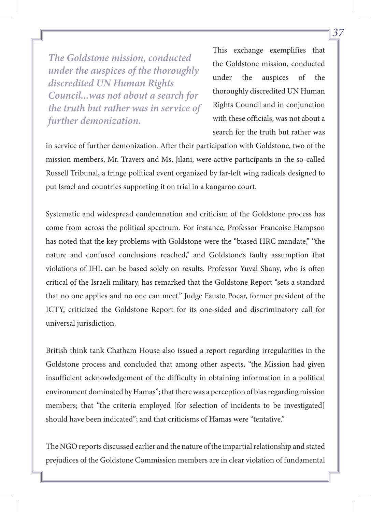*The Goldstone mission, conducted under the auspices of the thoroughly discredited UN Human Rights Council...was not about a search for the truth but rather was in service of further demonization.*

This exchange exemplifies that the Goldstone mission, conducted under the auspices of the thoroughly discredited UN Human Rights Council and in conjunction with these officials, was not about a search for the truth but rather was

in service of further demonization. After their participation with Goldstone, two of the mission members, Mr. Travers and Ms. Jilani, were active participants in the so-called Russell Tribunal, a fringe political event organized by far-left wing radicals designed to put Israel and countries supporting it on trial in a kangaroo court.

Systematic and widespread condemnation and criticism of the Goldstone process has come from across the political spectrum. For instance, Professor Francoise Hampson has noted that the key problems with Goldstone were the "biased HRC mandate," "the nature and confused conclusions reached," and Goldstone's faulty assumption that violations of IHL can be based solely on results. Professor Yuval Shany, who is often critical of the Israeli military, has remarked that the Goldstone Report "sets a standard that no one applies and no one can meet." Judge Fausto Pocar, former president of the ICTY, criticized the Goldstone Report for its one-sided and discriminatory call for universal jurisdiction.

British think tank Chatham House also issued a report regarding irregularities in the Goldstone process and concluded that among other aspects, "the Mission had given insufficient acknowledgement of the difficulty in obtaining information in a political environment dominated by Hamas"; that there was a perception of bias regarding mission members; that "the criteria employed [for selection of incidents to be investigated] should have been indicated"; and that criticisms of Hamas were "tentative."

The NGO reports discussed earlier and the nature of the impartial relationship and stated prejudices of the Goldstone Commission members are in clear violation of fundamental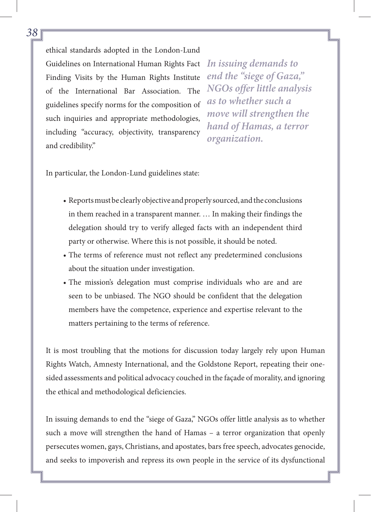ethical standards adopted in the London-Lund Guidelines on International Human Rights Fact Finding Visits by the Human Rights Institute of the International Bar Association. The guidelines specify norms for the composition of such inquiries and appropriate methodologies, including "accuracy, objectivity, transparency and credibility."

*In issuing demands to end the "siege of Gaza," NGOs offer little analysis as to whether such a move will strengthen the hand of Hamas, a terror organization.*

In particular, the London-Lund guidelines state:

- Reports must be clearly objective and properly sourced, and the conclusions in them reached in a transparent manner. … In making their findings the delegation should try to verify alleged facts with an independent third party or otherwise. Where this is not possible, it should be noted.
- The terms of reference must not reflect any predetermined conclusions about the situation under investigation.
- The mission's delegation must comprise individuals who are and are seen to be unbiased. The NGO should be confident that the delegation members have the competence, experience and expertise relevant to the matters pertaining to the terms of reference.

It is most troubling that the motions for discussion today largely rely upon Human Rights Watch, Amnesty International, and the Goldstone Report, repeating their onesided assessments and political advocacy couched in the façade of morality, and ignoring the ethical and methodological deficiencies.

In issuing demands to end the "siege of Gaza," NGOs offer little analysis as to whether such a move will strengthen the hand of Hamas – a terror organization that openly persecutes women, gays, Christians, and apostates, bars free speech, advocates genocide, and seeks to impoverish and repress its own people in the service of its dysfunctional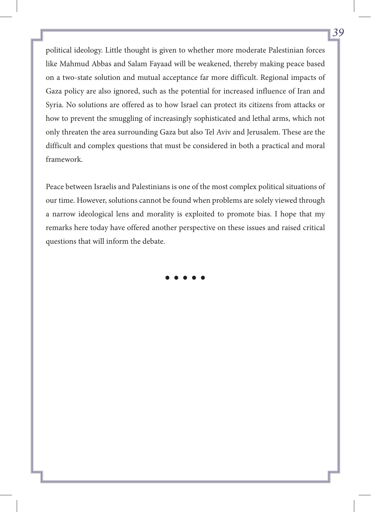political ideology. Little thought is given to whether more moderate Palestinian forces like Mahmud Abbas and Salam Fayaad will be weakened, thereby making peace based on a two-state solution and mutual acceptance far more difficult. Regional impacts of Gaza policy are also ignored, such as the potential for increased influence of Iran and Syria. No solutions are offered as to how Israel can protect its citizens from attacks or how to prevent the smuggling of increasingly sophisticated and lethal arms, which not only threaten the area surrounding Gaza but also Tel Aviv and Jerusalem. These are the difficult and complex questions that must be considered in both a practical and moral framework.

Peace between Israelis and Palestinians is one of the most complex political situations of our time. However, solutions cannot be found when problems are solely viewed through a narrow ideological lens and morality is exploited to promote bias. I hope that my remarks here today have offered another perspective on these issues and raised critical questions that will inform the debate.